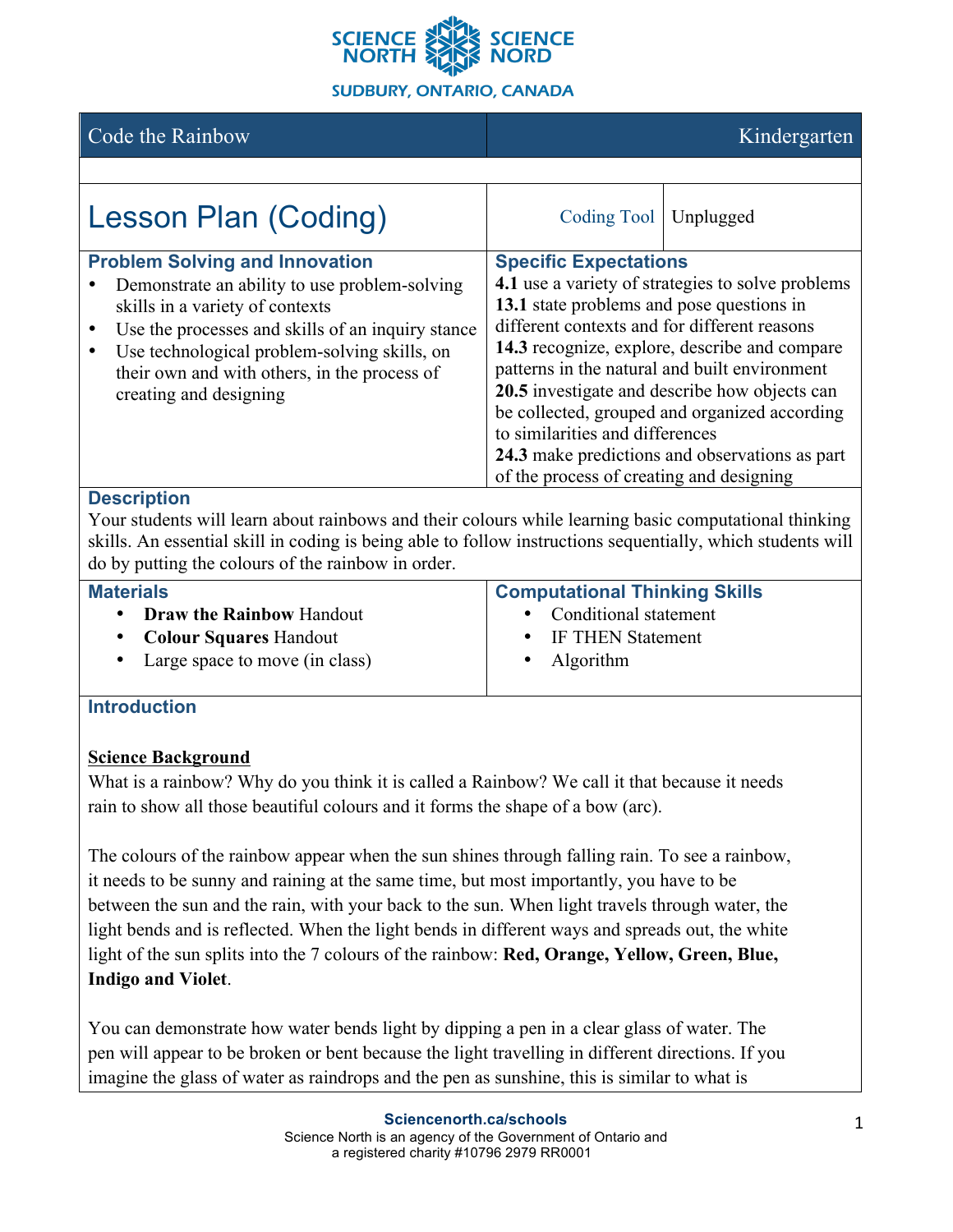

# Code the Rainbow **Kindergarten**

| <b>Lesson Plan (Coding)</b>                                                                                                                                                                                                                                                                              | Coding Tool   Unplugged                                                                                                                                                                                                                                                                                                                                                                                                                                                                                             |  |
|----------------------------------------------------------------------------------------------------------------------------------------------------------------------------------------------------------------------------------------------------------------------------------------------------------|---------------------------------------------------------------------------------------------------------------------------------------------------------------------------------------------------------------------------------------------------------------------------------------------------------------------------------------------------------------------------------------------------------------------------------------------------------------------------------------------------------------------|--|
| <b>Problem Solving and Innovation</b><br>Demonstrate an ability to use problem-solving<br>skills in a variety of contexts<br>Use the processes and skills of an inquiry stance<br>Use technological problem-solving skills, on<br>their own and with others, in the process of<br>creating and designing | <b>Specific Expectations</b><br>4.1 use a variety of strategies to solve problems<br>13.1 state problems and pose questions in<br>different contexts and for different reasons<br>14.3 recognize, explore, describe and compare<br>patterns in the natural and built environment<br>20.5 investigate and describe how objects can<br>be collected, grouped and organized according<br>to similarities and differences<br>24.3 make predictions and observations as part<br>of the process of creating and designing |  |

### **Description**

Your students will learn about rainbows and their colours while learning basic computational thinking skills. An essential skill in coding is being able to follow instructions sequentially, which students will do by putting the colours of the rainbow in order.

| <b>Materials</b>                 | <b>Computational Thinking Skills</b> |
|----------------------------------|--------------------------------------|
| • Draw the Rainbow Handout       | • Conditional statement              |
| • Colour Squares Handout         | • IF THEN Statement                  |
| • Large space to move (in class) | • Algorithm                          |

# **Introduction**

### **Science Background**

What is a rainbow? Why do you think it is called a Rainbow? We call it that because it needs rain to show all those beautiful colours and it forms the shape of a bow (arc).

The colours of the rainbow appear when the sun shines through falling rain. To see a rainbow, it needs to be sunny and raining at the same time, but most importantly, you have to be between the sun and the rain, with your back to the sun. When light travels through water, the light bends and is reflected. When the light bends in different ways and spreads out, the white light of the sun splits into the 7 colours of the rainbow: **Red, Orange, Yellow, Green, Blue, Indigo and Violet**.

You can demonstrate how water bends light by dipping a pen in a clear glass of water. The pen will appear to be broken or bent because the light travelling in different directions. If you imagine the glass of water as raindrops and the pen as sunshine, this is similar to what is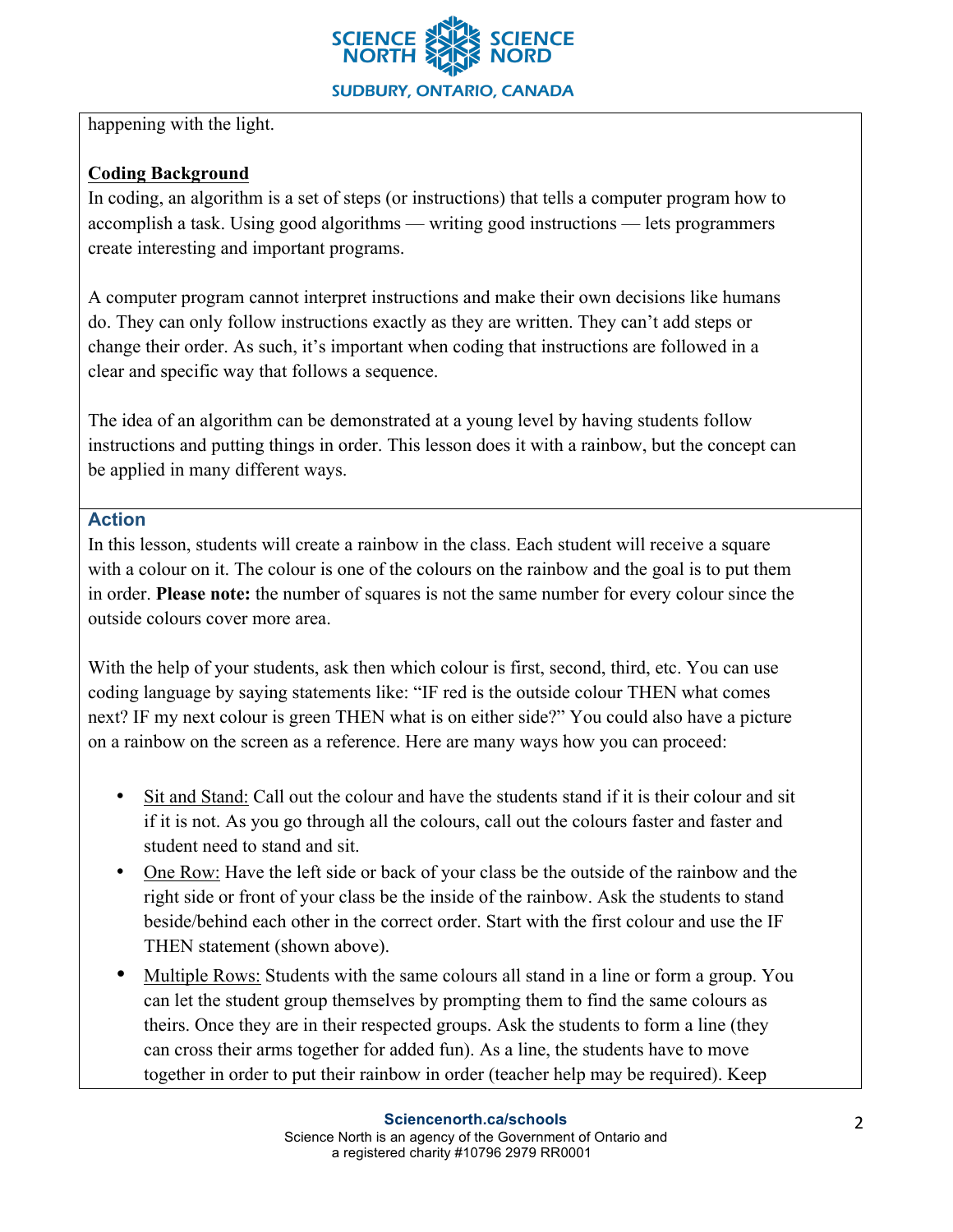

happening with the light.

# **Coding Background**

In coding, an algorithm is a set of steps (or instructions) that tells a computer program how to accomplish a task. Using good algorithms — writing good instructions — lets programmers create interesting and important programs.

A computer program cannot interpret instructions and make their own decisions like humans do. They can only follow instructions exactly as they are written. They can't add steps or change their order. As such, it's important when coding that instructions are followed in a clear and specific way that follows a sequence.

The idea of an algorithm can be demonstrated at a young level by having students follow instructions and putting things in order. This lesson does it with a rainbow, but the concept can be applied in many different ways.

# **Action**

In this lesson, students will create a rainbow in the class. Each student will receive a square with a colour on it. The colour is one of the colours on the rainbow and the goal is to put them in order. **Please note:** the number of squares is not the same number for every colour since the outside colours cover more area.

With the help of your students, ask then which colour is first, second, third, etc. You can use coding language by saying statements like: "IF red is the outside colour THEN what comes next? IF my next colour is green THEN what is on either side?" You could also have a picture on a rainbow on the screen as a reference. Here are many ways how you can proceed:

- Sit and Stand: Call out the colour and have the students stand if it is their colour and sit if it is not. As you go through all the colours, call out the colours faster and faster and student need to stand and sit.
- One Row: Have the left side or back of your class be the outside of the rainbow and the right side or front of your class be the inside of the rainbow. Ask the students to stand beside/behind each other in the correct order. Start with the first colour and use the IF THEN statement (shown above).
- Multiple Rows: Students with the same colours all stand in a line or form a group. You can let the student group themselves by prompting them to find the same colours as theirs. Once they are in their respected groups. Ask the students to form a line (they can cross their arms together for added fun). As a line, the students have to move together in order to put their rainbow in order (teacher help may be required). Keep